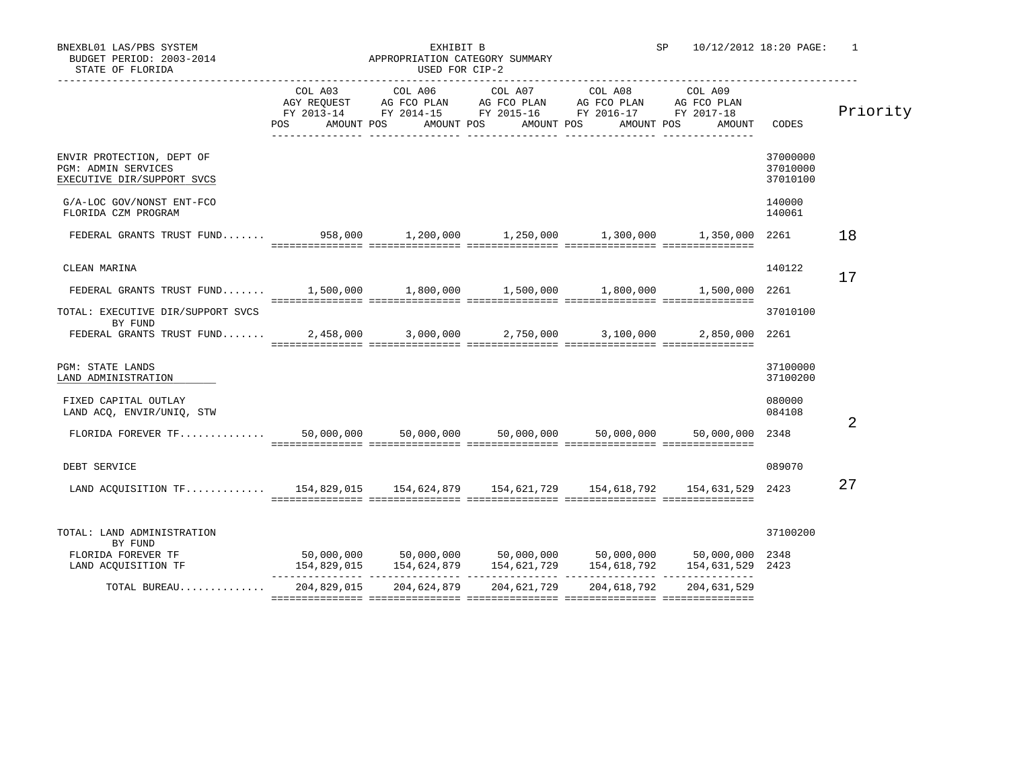| STATE OF FLORIDA                                                                      |                |            |                                                                                                                                                                           |  |                                 |                                  |                |
|---------------------------------------------------------------------------------------|----------------|------------|---------------------------------------------------------------------------------------------------------------------------------------------------------------------------|--|---------------------------------|----------------------------------|----------------|
|                                                                                       | COL A03<br>POS | AMOUNT POS | COL A06 COL A07 COL A08<br>AGY REQUEST AG FCO PLAN AG FCO PLAN AG FCO PLAN AG FCO PLAN<br>FY 2013-14 FY 2014-15 FY 2015-16 FY 2016-17 FY 2017-18<br>AMOUNT POS AMOUNT POS |  | COL A09<br>AMOUNT POS<br>AMOUNT | CODES                            | Priority       |
| ENVIR PROTECTION, DEPT OF<br><b>PGM: ADMIN SERVICES</b><br>EXECUTIVE DIR/SUPPORT SVCS |                |            |                                                                                                                                                                           |  |                                 | 37000000<br>37010000<br>37010100 |                |
| G/A-LOC GOV/NONST ENT-FCO<br>FLORIDA CZM PROGRAM                                      |                |            |                                                                                                                                                                           |  |                                 | 140000<br>140061                 |                |
| FEDERAL GRANTS TRUST FUND 958,000 1,200,000 1,250,000 1,300,000 1,350,000 2261        |                |            |                                                                                                                                                                           |  |                                 |                                  | 18             |
| CLEAN MARINA                                                                          |                |            |                                                                                                                                                                           |  |                                 | 140122                           | 17             |
| FEDERAL GRANTS TRUST FUND 1,500,000 1,800,000 1,500,000 1,800,000 1,500,000           |                |            |                                                                                                                                                                           |  |                                 | 2261                             |                |
| TOTAL: EXECUTIVE DIR/SUPPORT SVCS<br>BY FUND                                          |                |            |                                                                                                                                                                           |  |                                 | 37010100                         |                |
| FEDERAL GRANTS TRUST FUND 2,458,000 3,000,000 2,750,000 3,100,000 2,850,000           |                |            |                                                                                                                                                                           |  |                                 | 2261                             |                |
| PGM: STATE LANDS<br>LAND ADMINISTRATION                                               |                |            |                                                                                                                                                                           |  |                                 | 37100000<br>37100200             |                |
| FIXED CAPITAL OUTLAY<br>LAND ACQ, ENVIR/UNIQ, STW                                     |                |            |                                                                                                                                                                           |  |                                 | 080000<br>084108                 | $\overline{2}$ |
|                                                                                       |                |            |                                                                                                                                                                           |  | 50,000,000                      | 2348                             |                |
| DEBT SERVICE                                                                          |                |            |                                                                                                                                                                           |  |                                 | 089070                           |                |
| LAND ACOUISITION TF 154,829,015 154,624,879 154,621,729 154,618,792 154,631,529       |                |            |                                                                                                                                                                           |  |                                 | 2423                             | 27             |
| TOTAL: LAND ADMINISTRATION                                                            |                |            |                                                                                                                                                                           |  |                                 | 37100200                         |                |
| BY FUND<br>FLORIDA FOREVER TF<br>LAND ACOUISITION TF                                  | 154,829,015    |            | $50,000,000$ $50,000,000$ $50,000,000$ $50,000,000$ $50,000,000$ $2348$<br>154,624,879   154,621,729   154,618,792   154,631,529   2423                                   |  |                                 |                                  |                |
|                                                                                       |                |            |                                                                                                                                                                           |  |                                 |                                  |                |

=============== =============== =============== =============== ===============

TOTAL BUREAU.............. 204,829,015 204,624,879 204,621,729 204,618,792 204,631,529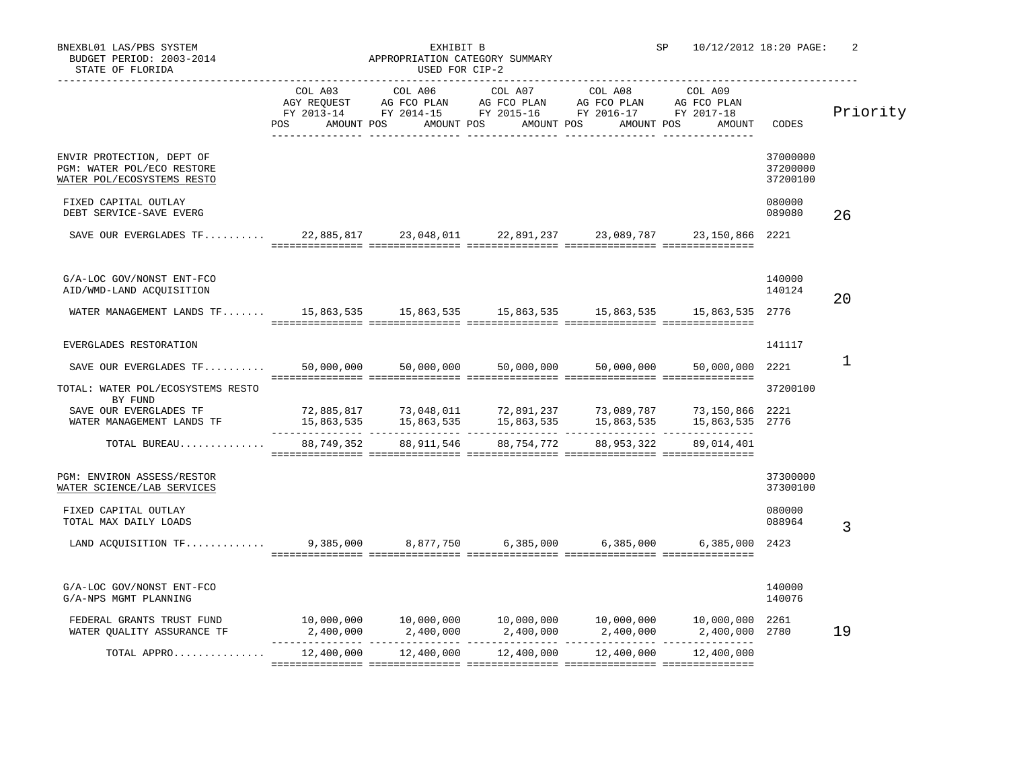| STATE OF FLORIDA                                                                                                                               | USED FOR CIP-2 |            |                                                                                                                                                                                 |                 |                                                                                                                                                                                        |                                  |          |
|------------------------------------------------------------------------------------------------------------------------------------------------|----------------|------------|---------------------------------------------------------------------------------------------------------------------------------------------------------------------------------|-----------------|----------------------------------------------------------------------------------------------------------------------------------------------------------------------------------------|----------------------------------|----------|
|                                                                                                                                                | COL A03        | COL A06    | AGY REQUEST AG FCO PLAN AG FCO PLAN AG FCO PLAN AG FCO PLAN<br>FY 2013-14 FY 2014-15 FY 2015-16 FY 2016-17 FY 2017-18<br>POS AMOUNT POS AMOUNT POS AMOUNT POS AMOUNT POS AMOUNT | COL A07 COL A08 | COL A09                                                                                                                                                                                | CODES                            | Priority |
| ENVIR PROTECTION, DEPT OF<br>PGM: WATER POL/ECO RESTORE<br>WATER POL/ECOSYSTEMS RESTO                                                          |                |            |                                                                                                                                                                                 |                 |                                                                                                                                                                                        | 37000000<br>37200000<br>37200100 |          |
| FIXED CAPITAL OUTLAY<br>DEBT SERVICE-SAVE EVERG                                                                                                |                |            |                                                                                                                                                                                 |                 |                                                                                                                                                                                        | 080000<br>089080                 | 26       |
| SAVE OUR EVERGLADES TF 22,885,817 23,048,011 22,891,237 23,089,787 23,150,866                                                                  |                |            |                                                                                                                                                                                 |                 |                                                                                                                                                                                        | 2221                             |          |
| G/A-LOC GOV/NONST ENT-FCO<br>AID/WMD-LAND ACQUISITION<br>WATER MANAGEMENT LANDS TF 15,863,535 15,863,535 15,863,535 15,863,535 15,863,535 2776 |                |            |                                                                                                                                                                                 |                 |                                                                                                                                                                                        | 140000<br>140124                 | 20       |
| EVERGLADES RESTORATION                                                                                                                         |                |            |                                                                                                                                                                                 |                 |                                                                                                                                                                                        | 141117                           |          |
| SAVE OUR EVERGLADES TF                                                                                                                         |                |            | 50,000,000 50,000,000 50,000,000                                                                                                                                                | 50,000,000      | 50,000,000                                                                                                                                                                             | 2221                             | 1        |
| TOTAL: WATER POL/ECOSYSTEMS RESTO<br>BY FUND                                                                                                   |                |            |                                                                                                                                                                                 |                 |                                                                                                                                                                                        | 37200100                         |          |
| SAVE OUR EVERGLADES TF<br>WATER MANAGEMENT LANDS TF                                                                                            |                |            |                                                                                                                                                                                 |                 | 72,885,817         73,048,011         72,891,237        73,089,787        73,150,866   2221<br>15,863,535        15,863,535        15,863,535       15,863,535       15,863,535   2776 |                                  |          |
| TOTAL BUREAU                                                                                                                                   | 88,749,352     | 88,911,546 | 88,754,772                                                                                                                                                                      | 88,953,322      | 89,014,401                                                                                                                                                                             |                                  |          |
| PGM: ENVIRON ASSESS/RESTOR<br>WATER SCIENCE/LAB SERVICES                                                                                       |                |            |                                                                                                                                                                                 |                 |                                                                                                                                                                                        | 37300000<br>37300100             |          |
| FIXED CAPITAL OUTLAY<br>TOTAL MAX DAILY LOADS                                                                                                  |                |            |                                                                                                                                                                                 |                 |                                                                                                                                                                                        | 080000<br>088964                 | 3        |
| LAND ACQUISITION TF 9,385,000 8,877,750 6,385,000 6,385,000 6,385,000                                                                          |                |            |                                                                                                                                                                                 |                 |                                                                                                                                                                                        | 2423                             |          |
| G/A-LOC GOV/NONST ENT-FCO<br>G/A-NPS MGMT PLANNING                                                                                             |                |            |                                                                                                                                                                                 |                 |                                                                                                                                                                                        | 140000<br>140076                 |          |
| FEDERAL GRANTS TRUST FUND<br>WATER QUALITY ASSURANCE TF                                                                                        |                |            | $2,400,000$ $2,400,000$ $2,400,000$ $2,400,000$ $2,400,000$                                                                                                                     |                 | $10,000,000$ $10,000,000$ $10,000,000$ $10,000,000$ $10,000,000$ $10,000,000$ $2261$<br>2,400,000 2780                                                                                 |                                  | 19       |
| TOTAL APPRO                                                                                                                                    |                |            | $12,400,000$ $12,400,000$ $12,400,000$ $12,400,000$ $12,400,000$                                                                                                                |                 |                                                                                                                                                                                        |                                  |          |
|                                                                                                                                                |                |            |                                                                                                                                                                                 |                 |                                                                                                                                                                                        |                                  |          |

BUDGET PERIOD: 2003-2014 APPROPRIATION CATEGORY SUMMARY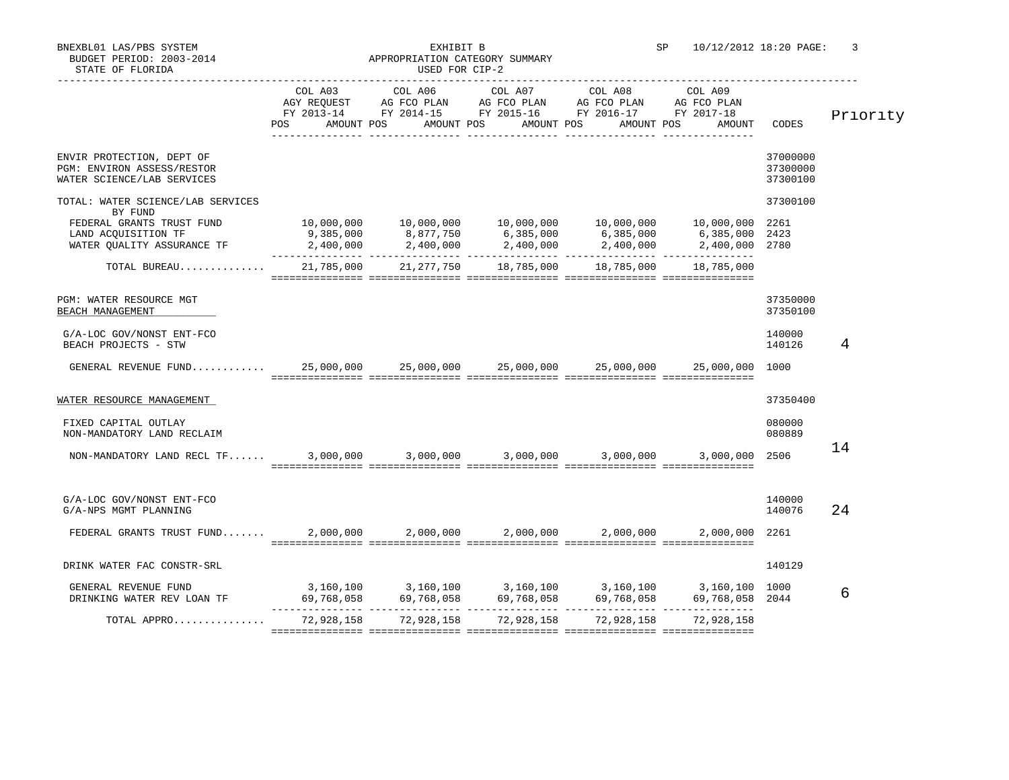| STATE OF FLORIDA                                                                            |                                                                                                                                                                                                                                                             | USED FOR CIP-2 |                                                                                                                                                                             |  |                     |                                  |          |
|---------------------------------------------------------------------------------------------|-------------------------------------------------------------------------------------------------------------------------------------------------------------------------------------------------------------------------------------------------------------|----------------|-----------------------------------------------------------------------------------------------------------------------------------------------------------------------------|--|---------------------|----------------------------------|----------|
|                                                                                             | POS DO                                                                                                                                                                                                                                                      |                | AGY REQUEST AG FCO PLAN AG FCO PLAN AG FCO PLAN AG FCO PLAN<br>FY 2013-14 FY 2014-15 FY 2015-16 FY 2016-17 FY 2017-18<br>AMOUNT POS AMOUNT POS AMOUNT POS AMOUNT POS AMOUNT |  |                     | CODES                            | Priority |
| ENVIR PROTECTION, DEPT OF<br>PGM: ENVIRON ASSESS/RESTOR<br>WATER SCIENCE/LAB SERVICES       |                                                                                                                                                                                                                                                             |                |                                                                                                                                                                             |  |                     | 37000000<br>37300000<br>37300100 |          |
| TOTAL: WATER SCIENCE/LAB SERVICES<br>BY FUND                                                |                                                                                                                                                                                                                                                             |                |                                                                                                                                                                             |  |                     | 37300100                         |          |
|                                                                                             |                                                                                                                                                                                                                                                             |                |                                                                                                                                                                             |  |                     |                                  |          |
| TOTAL BUREAU                                                                                |                                                                                                                                                                                                                                                             |                | 21,785,000  21,277,750  18,785,000  18,785,000  18,785,000                                                                                                                  |  |                     |                                  |          |
| PGM: WATER RESOURCE MGT<br>BEACH MANAGEMENT                                                 |                                                                                                                                                                                                                                                             |                |                                                                                                                                                                             |  |                     | 37350000<br>37350100             |          |
| G/A-LOC GOV/NONST ENT-FCO<br>BEACH PROJECTS - STW                                           |                                                                                                                                                                                                                                                             |                |                                                                                                                                                                             |  |                     | 140000<br>140126                 | 4        |
| GENERAL REVENUE FUND 25,000,000 25,000,000 25,000,000 25,000,000 25,000,000 25,000,000 1000 |                                                                                                                                                                                                                                                             |                |                                                                                                                                                                             |  |                     |                                  |          |
| WATER RESOURCE MANAGEMENT                                                                   |                                                                                                                                                                                                                                                             |                |                                                                                                                                                                             |  |                     | 37350400                         |          |
| FIXED CAPITAL OUTLAY<br>NON-MANDATORY LAND RECLAIM                                          |                                                                                                                                                                                                                                                             |                |                                                                                                                                                                             |  |                     | 080000<br>080889                 |          |
|                                                                                             |                                                                                                                                                                                                                                                             |                |                                                                                                                                                                             |  |                     | 2506                             | 14       |
| G/A-LOC GOV/NONST ENT-FCO<br>G/A-NPS MGMT PLANNING                                          |                                                                                                                                                                                                                                                             |                |                                                                                                                                                                             |  |                     | 140000<br>140076                 | 24       |
| FEDERAL GRANTS TRUST FUND 2,000,000 2,000,000 2,000,000                                     |                                                                                                                                                                                                                                                             |                |                                                                                                                                                                             |  | 2,000,000 2,000,000 | 2261                             |          |
| DRINK WATER FAC CONSTR-SRL                                                                  |                                                                                                                                                                                                                                                             |                |                                                                                                                                                                             |  |                     | 140129                           |          |
| GENERAL REVENUE FUND<br>DRINKING WATER REV LOAN TF                                          | $3,160,100$<br>$69,768,058$<br>$69,768,058$<br>$69,768,058$<br>$69,768,058$<br>$69,768,058$<br>$69,768,058$<br>$69,768,058$<br>$69,768,058$<br>$69,768,058$<br>$69,768,058$<br>$69,768,058$<br>$69,768,058$<br>$69,768,058$<br>$69,768,058$<br>$69,768,058$ |                |                                                                                                                                                                             |  |                     |                                  | 6        |
| TOTAL APPRO                                                                                 |                                                                                                                                                                                                                                                             |                | 72,928,158 72,928,158 72,928,158 72,928,158                                                                                                                                 |  | 72,928,158          |                                  |          |

=============== =============== =============== =============== ===============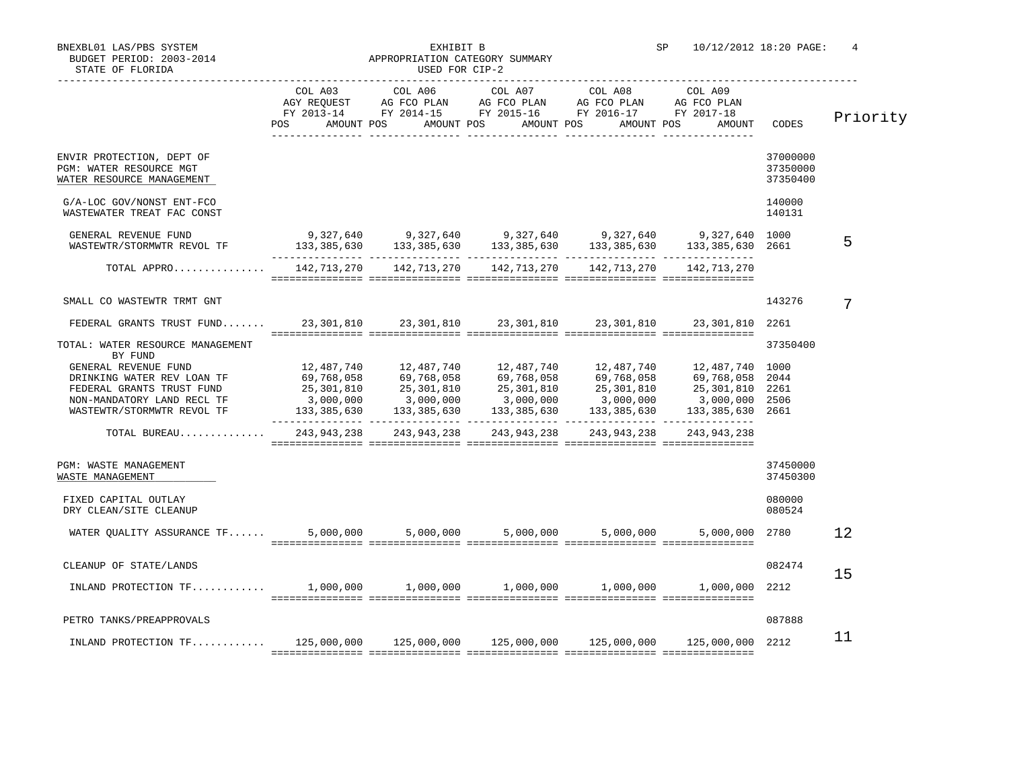BUDGET PERIOD: 2003-2014 **APPROPRIATION CATEGORY SUMMARY** STATE OF FLORIDA **EXECUTE:** THE STATE OF STATE OF STATE OF STATE OF STATE OF STATE OF STATE OF STATE OF STATE OF STATE OF STATE OF STATE OF STATE OF STATE OF STATE OF STATE OF STATE OF STATE OF STATE OF STATE OF STATE OF S

|                                                                                                                                             | POS                                                                                                                                                                                                                                                                                                                                                 | COL A03 COL A06 COL A07 COL A08<br>AGY REQUEST AG FCO PLAN AG FCO PLAN AG FCO PLAN AG FCO PLAN<br>FY 2013-14 FY 2014-15 FY 2015-16 FY 2016-17 FY 2017-18<br>AMOUNT POS AMOUNT POS AMOUNT POS AMOUNT POS | COL A09<br>AMOUNT                                                                          | <b>CODES</b>                     | Priority |
|---------------------------------------------------------------------------------------------------------------------------------------------|-----------------------------------------------------------------------------------------------------------------------------------------------------------------------------------------------------------------------------------------------------------------------------------------------------------------------------------------------------|---------------------------------------------------------------------------------------------------------------------------------------------------------------------------------------------------------|--------------------------------------------------------------------------------------------|----------------------------------|----------|
| ENVIR PROTECTION, DEPT OF<br>PGM: WATER RESOURCE MGT<br>WATER RESOURCE MANAGEMENT                                                           |                                                                                                                                                                                                                                                                                                                                                     |                                                                                                                                                                                                         |                                                                                            | 37000000<br>37350000<br>37350400 |          |
| G/A-LOC GOV/NONST ENT-FCO<br>WASTEWATER TREAT FAC CONST                                                                                     |                                                                                                                                                                                                                                                                                                                                                     |                                                                                                                                                                                                         |                                                                                            | 140000<br>140131                 |          |
| GENERAL REVENUE FUND<br>WASTEWTR/STORMWTR REVOL TF                                                                                          | $9,327,640$ $9,327,640$ $9,327,640$ $9,327,640$ $9,327,640$ $9,327,640$ $1000$                                                                                                                                                                                                                                                                      |                                                                                                                                                                                                         | $133,385,630$ $133,385,630$ $133,385,630$ $133,385,630$ $133,385,630$ $133,385,630$ $2661$ |                                  | 5        |
| TOTAL APPRO 142,713,270 142,713,270 142,713,270 142,713,270 142,713,270                                                                     |                                                                                                                                                                                                                                                                                                                                                     |                                                                                                                                                                                                         |                                                                                            |                                  |          |
| SMALL CO WASTEWTR TRMT GNT                                                                                                                  |                                                                                                                                                                                                                                                                                                                                                     |                                                                                                                                                                                                         |                                                                                            | 143276                           | 7        |
| FEDERAL GRANTS TRUST FUND                                                                                                                   |                                                                                                                                                                                                                                                                                                                                                     | 23, 301, 810 23, 301, 810 23, 301, 810 23, 301, 810                                                                                                                                                     | 23,301,810                                                                                 | 2261                             |          |
| TOTAL: WATER RESOURCE MANAGEMENT<br>BY FUND                                                                                                 |                                                                                                                                                                                                                                                                                                                                                     |                                                                                                                                                                                                         |                                                                                            | 37350400                         |          |
| GENERAL REVENUE FUND<br>DRINKING WATER REV LOAN TF<br>FEDERAL GRANTS TRUST FUND<br>NON-MANDATORY LAND RECL TF<br>WASTEWTR/STORMWTR REVOL TF | $\begin{array}{cccccccc} 12\, ,487\, ,740 \\ 69\, ,768\, ,058 \\ 25\, ,301\, ,810 \\ 3\, ,000\, ,000 \\ 133\, ,385\, ,630 \\ \end{array} \hskip .5 in \begin{array}{cccccccc} 12\, ,487\, ,740 \\ 69\, ,768\, ,058 \\ 59\, ,768\, ,058 \\ 69\, ,768\, ,058 \\ 133\, ,385\, ,630 \\ \end{array} \hskip .5 in \begin{array}{cccccccc} 12\, ,487\, ,7$ |                                                                                                                                                                                                         |                                                                                            |                                  |          |
| TOTAL BUREAU 243,943,238 243,943,238 243,943,238 243,943,238                                                                                |                                                                                                                                                                                                                                                                                                                                                     |                                                                                                                                                                                                         | 243, 943, 238                                                                              |                                  |          |
| PGM: WASTE MANAGEMENT<br>WASTE MANAGEMENT                                                                                                   |                                                                                                                                                                                                                                                                                                                                                     |                                                                                                                                                                                                         |                                                                                            | 37450000<br>37450300             |          |
| FIXED CAPITAL OUTLAY<br>DRY CLEAN/SITE CLEANUP                                                                                              |                                                                                                                                                                                                                                                                                                                                                     |                                                                                                                                                                                                         |                                                                                            | 080000<br>080524                 |          |
|                                                                                                                                             |                                                                                                                                                                                                                                                                                                                                                     |                                                                                                                                                                                                         |                                                                                            |                                  | 12       |
| CLEANUP OF STATE/LANDS                                                                                                                      |                                                                                                                                                                                                                                                                                                                                                     |                                                                                                                                                                                                         |                                                                                            | 082474                           | 15       |
|                                                                                                                                             |                                                                                                                                                                                                                                                                                                                                                     |                                                                                                                                                                                                         |                                                                                            | 2212                             |          |
| PETRO TANKS/PREAPPROVALS                                                                                                                    |                                                                                                                                                                                                                                                                                                                                                     |                                                                                                                                                                                                         |                                                                                            | 087888                           |          |
| INLAND PROTECTION TF 125,000,000 125,000,000 125,000,000 125,000,000 125,000,000 125,000,000 2212                                           |                                                                                                                                                                                                                                                                                                                                                     |                                                                                                                                                                                                         |                                                                                            |                                  | 11       |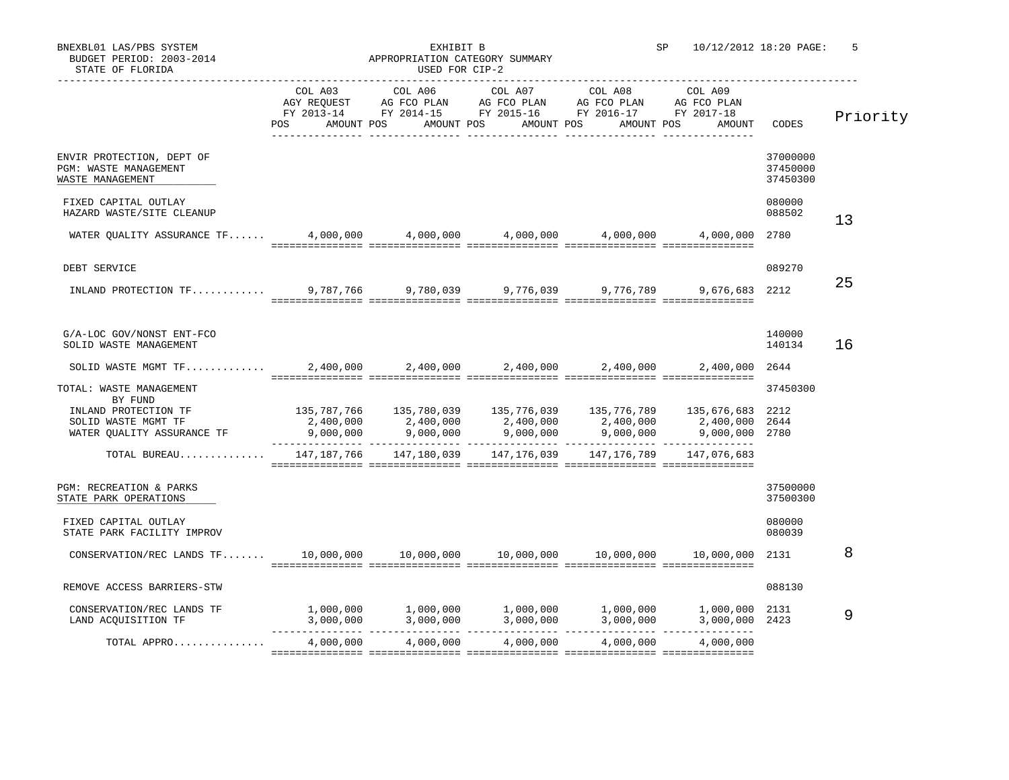| EXBL01 LAS/PBS SYSTEM |                          |
|-----------------------|--------------------------|
|                       | BUDGET PERIOD: 2003-2014 |

## BNEXBL01 LAS/PBS SYSTEM STRAND STRAND STRAND STRAND STRAND STRAND STRAND STRAND STRAND STRAND STRAND STRAND STRAND STRAND STRAND STRAND STRAND STRAND STRAND STRAND STRAND STRAND STRAND STRAND STRAND STRAND STRAND STRAND ST

| BUDGET PERIOD: 2003-2014<br>STATE OF FLORIDA                                                                    |         | APPROPRIATION CATEGORY SUMMARY<br>USED FOR CIP-2 |                                                                                                                                                                                 |                 |                                                                                                                                                                                                                                                                          |                                  |          |
|-----------------------------------------------------------------------------------------------------------------|---------|--------------------------------------------------|---------------------------------------------------------------------------------------------------------------------------------------------------------------------------------|-----------------|--------------------------------------------------------------------------------------------------------------------------------------------------------------------------------------------------------------------------------------------------------------------------|----------------------------------|----------|
|                                                                                                                 | COL A03 | COL A06                                          | AGY REQUEST AG FCO PLAN AG FCO PLAN AG FCO PLAN AG FCO PLAN<br>FY 2013-14 FY 2014-15 FY 2015-16 FY 2016-17 FY 2017-18<br>POS AMOUNT POS AMOUNT POS AMOUNT POS AMOUNT POS AMOUNT | COL A07 COL A08 | COL A09                                                                                                                                                                                                                                                                  | CODES                            | Priority |
| ENVIR PROTECTION, DEPT OF<br>PGM: WASTE MANAGEMENT<br>WASTE MANAGEMENT                                          |         |                                                  |                                                                                                                                                                                 |                 |                                                                                                                                                                                                                                                                          | 37000000<br>37450000<br>37450300 |          |
| FIXED CAPITAL OUTLAY<br>HAZARD WASTE/SITE CLEANUP                                                               |         |                                                  |                                                                                                                                                                                 |                 |                                                                                                                                                                                                                                                                          | 080000<br>088502                 | 13       |
|                                                                                                                 |         |                                                  |                                                                                                                                                                                 |                 |                                                                                                                                                                                                                                                                          | 2780                             |          |
| DEBT SERVICE                                                                                                    |         |                                                  |                                                                                                                                                                                 |                 |                                                                                                                                                                                                                                                                          | 089270                           |          |
| 1NLAND PROTECTION TF 9,787,766 9,780,039 9,776,039 9,776,789 9,676,683 2212                                     |         |                                                  |                                                                                                                                                                                 |                 |                                                                                                                                                                                                                                                                          |                                  | 25       |
| G/A-LOC GOV/NONST ENT-FCO<br>SOLID WASTE MANAGEMENT                                                             |         |                                                  |                                                                                                                                                                                 |                 |                                                                                                                                                                                                                                                                          | 140000<br>140134                 | 16       |
| SOLID WASTE MGMT TF 2,400,000 2,400,000 2,400,000                                                               |         |                                                  |                                                                                                                                                                                 |                 | 2,400,000 2,400,000                                                                                                                                                                                                                                                      | 2644                             |          |
| TOTAL: WASTE MANAGEMENT<br>BY FUND<br>INLAND PROTECTION TF<br>SOLID WASTE MGMT TF<br>WATER QUALITY ASSURANCE TF |         |                                                  |                                                                                                                                                                                 |                 | $\begin{array}{cccccccc} 135,787,766 & 135,780,039 & 135,776,039 & 135,776,789 & 135,676,683 & 2212 \\ 2,400,000 & 2,400,000 & 2,400,000 & 2,400,000 & 2,400,000 & 2,400,000 \\ 9,000,000 & 9,000,000 & 9,000,000 & 9,000,000 & 9,000,000 & 9,000,000 & 2780 \end{array$ | 37450300                         |          |
| TOTAL BUREAU                                                                                                    |         |                                                  | 147,187,766  147,180,039  147,176,039  147,176,789  147,076,683                                                                                                                 |                 |                                                                                                                                                                                                                                                                          |                                  |          |
| PGM: RECREATION & PARKS<br>STATE PARK OPERATIONS<br>FIXED CAPITAL OUTLAY                                        |         |                                                  |                                                                                                                                                                                 |                 |                                                                                                                                                                                                                                                                          | 37500000<br>37500300<br>080000   |          |
| STATE PARK FACILITY IMPROV                                                                                      |         |                                                  |                                                                                                                                                                                 |                 |                                                                                                                                                                                                                                                                          | 080039                           |          |
|                                                                                                                 |         |                                                  |                                                                                                                                                                                 |                 |                                                                                                                                                                                                                                                                          |                                  | 8        |
| REMOVE ACCESS BARRIERS-STW                                                                                      |         |                                                  |                                                                                                                                                                                 |                 |                                                                                                                                                                                                                                                                          | 088130                           |          |
| CONSERVATION/REC LANDS TF<br>LAND ACQUISITION TF                                                                |         |                                                  |                                                                                                                                                                                 |                 |                                                                                                                                                                                                                                                                          |                                  | 9        |
| TOTAL APPRO                                                                                                     |         |                                                  | $4,000,000$ $4,000,000$ $4,000,000$                                                                                                                                             | 4,000,000       | 4,000,000                                                                                                                                                                                                                                                                |                                  |          |
|                                                                                                                 |         |                                                  |                                                                                                                                                                                 |                 |                                                                                                                                                                                                                                                                          |                                  |          |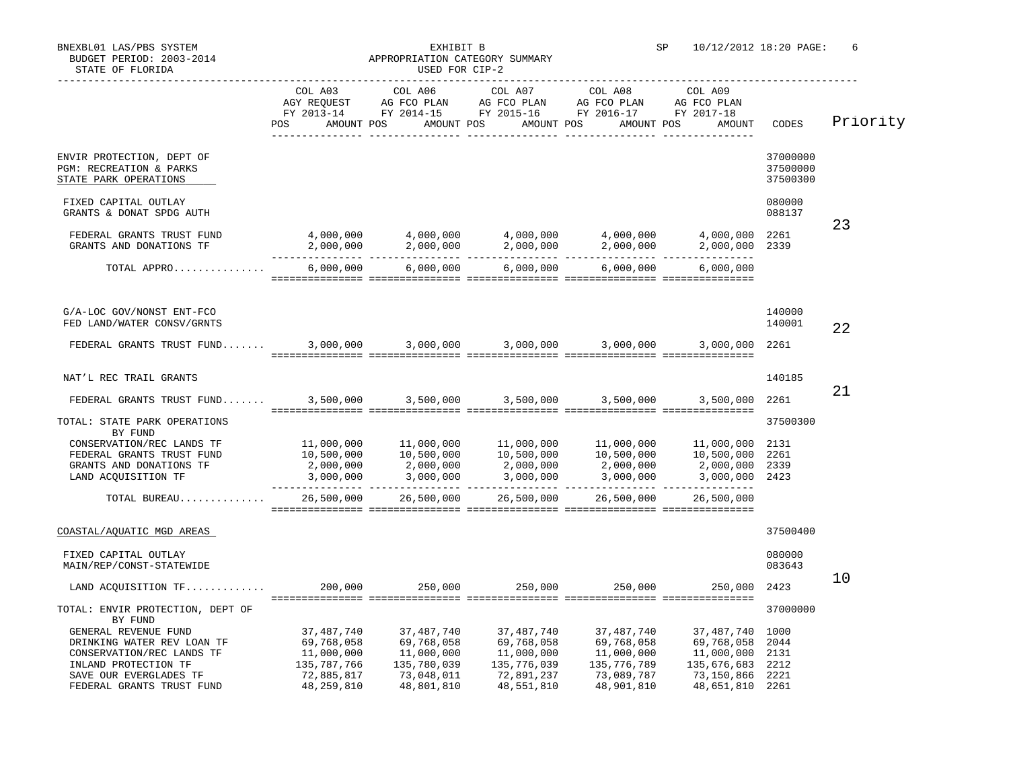| STATE OF FLORIDA                                                                                                                                                                                                                                                                                                                                                                 | USED FOR CIP-2                                                                                                                                                                                                                                                                                                 |                           |                                                                                                        |                           |                                                                                                                                                                                |                                  |          |
|----------------------------------------------------------------------------------------------------------------------------------------------------------------------------------------------------------------------------------------------------------------------------------------------------------------------------------------------------------------------------------|----------------------------------------------------------------------------------------------------------------------------------------------------------------------------------------------------------------------------------------------------------------------------------------------------------------|---------------------------|--------------------------------------------------------------------------------------------------------|---------------------------|--------------------------------------------------------------------------------------------------------------------------------------------------------------------------------|----------------------------------|----------|
|                                                                                                                                                                                                                                                                                                                                                                                  | FY 2013-14 FY 2014-15 FY 2015-16 FY 2016-17 FY 2017-18<br>POS AMOUNT POS AMOUNT POS AMOUNT POS AMOUNT POS AMOUNT                                                                                                                                                                                               |                           | COL A03 COL A06 COL A07 COL A08 COL A09<br>AGY REQUEST AG FCO PLAN AG FCO PLAN AG FCO PLAN AG FCO PLAN |                           |                                                                                                                                                                                | CODES                            | Priority |
| ENVIR PROTECTION, DEPT OF<br>PGM: RECREATION & PARKS<br>STATE PARK OPERATIONS                                                                                                                                                                                                                                                                                                    |                                                                                                                                                                                                                                                                                                                |                           |                                                                                                        |                           |                                                                                                                                                                                | 37000000<br>37500000<br>37500300 |          |
| FIXED CAPITAL OUTLAY<br>GRANTS & DONAT SPDG AUTH                                                                                                                                                                                                                                                                                                                                 |                                                                                                                                                                                                                                                                                                                |                           |                                                                                                        |                           |                                                                                                                                                                                | 080000<br>088137                 |          |
| FEDERAL GRANTS TRUST FUND<br>GRANTS AND DONATIONS TF                                                                                                                                                                                                                                                                                                                             | $4,000,000$ $4,000,000$ $4,000,000$ $4,000,000$ $4,000,000$ $4,000,000$ $4,000,000$ $4,000,000$ $4,000,000$ $4,000,000$ $4,000,000$ $4,000,000$ $4,000,000$ $4,000,000$ $4,000,000$ $4,000,000$ $4,000,000$ $4,000,000$ $4,00$                                                                                 |                           |                                                                                                        |                           |                                                                                                                                                                                |                                  | 23       |
| ${\tt TOTAL} \begin{array}{l} {\tt APPRO.}\dots\dots\dots\dots\dots\\ {\tt 6,000,000} \end{array} \begin{array}{l} {\tt 6,000,000} \end{array} \begin{array}{l} {\tt 6,000,000} \end{array} \begin{array}{l} {\tt 6,000,000} \end{array} \begin{array}{l} {\tt 6,000,000} \end{array} \begin{array}{l} {\tt 6,000,000} \end{array} \begin{array}{l} {\tt 6,000,000} \end{array}$ |                                                                                                                                                                                                                                                                                                                |                           |                                                                                                        |                           |                                                                                                                                                                                |                                  |          |
| G/A-LOC GOV/NONST ENT-FCO<br>FED LAND/WATER CONSV/GRNTS                                                                                                                                                                                                                                                                                                                          |                                                                                                                                                                                                                                                                                                                |                           |                                                                                                        |                           |                                                                                                                                                                                | 140000<br>140001                 | 22       |
|                                                                                                                                                                                                                                                                                                                                                                                  |                                                                                                                                                                                                                                                                                                                |                           |                                                                                                        |                           |                                                                                                                                                                                | 2261                             |          |
| NAT'L REC TRAIL GRANTS                                                                                                                                                                                                                                                                                                                                                           |                                                                                                                                                                                                                                                                                                                |                           |                                                                                                        |                           |                                                                                                                                                                                | 140185                           |          |
| FEDERAL GRANTS TRUST FUND 3,500,000 3,500,000 3,500,000 3,500,000 3,500,000 3,500,000                                                                                                                                                                                                                                                                                            |                                                                                                                                                                                                                                                                                                                |                           |                                                                                                        |                           |                                                                                                                                                                                | 2261                             | 21       |
| TOTAL: STATE PARK OPERATIONS<br>BY FUND                                                                                                                                                                                                                                                                                                                                          |                                                                                                                                                                                                                                                                                                                |                           |                                                                                                        |                           |                                                                                                                                                                                | 37500300                         |          |
| CONSERVATION/REC LANDS TF<br>FEDERAL GRANTS TRUST FUND<br>GRANTS AND DONATIONS TF<br>LAND ACQUISITION TF                                                                                                                                                                                                                                                                         | $\begin{array}{cccccccc} 11\,,000\,,000 & & & 11\,,000\,,000 & & & 11\,,000\,,000 & & & 11\,,000\,,000 & & & 11\,,000\,,000 & & & 2131\, \\ 10\,,500\,,000 & & & 10\,,500\,,000 & & & 10\,,500\,,000 & & & 10\,,500\,,000 & & & 10\,,500\,,000 & & & 261\, \\ 2\,,000\,,000 & & & 2\,,000\,,000 & & & 2\,,000$ |                           |                                                                                                        |                           |                                                                                                                                                                                |                                  |          |
| TOTAL BUREAU                                                                                                                                                                                                                                                                                                                                                                     |                                                                                                                                                                                                                                                                                                                |                           | 26,500,000  26,500,000  26,500,000  26,500,000                                                         |                           | 26,500,000                                                                                                                                                                     |                                  |          |
| COASTAL/AQUATIC MGD AREAS                                                                                                                                                                                                                                                                                                                                                        |                                                                                                                                                                                                                                                                                                                |                           |                                                                                                        |                           |                                                                                                                                                                                | 37500400                         |          |
| FIXED CAPITAL OUTLAY<br>MAIN/REP/CONST-STATEWIDE                                                                                                                                                                                                                                                                                                                                 |                                                                                                                                                                                                                                                                                                                |                           |                                                                                                        |                           |                                                                                                                                                                                | 080000<br>083643                 |          |
|                                                                                                                                                                                                                                                                                                                                                                                  |                                                                                                                                                                                                                                                                                                                |                           |                                                                                                        |                           |                                                                                                                                                                                | 2423                             | 10       |
| TOTAL: ENVIR PROTECTION, DEPT OF<br>BY FUND                                                                                                                                                                                                                                                                                                                                      |                                                                                                                                                                                                                                                                                                                |                           |                                                                                                        |                           |                                                                                                                                                                                | 37000000                         |          |
| GENERAL REVENUE FUND                                                                                                                                                                                                                                                                                                                                                             | 37,487,740                                                                                                                                                                                                                                                                                                     | 37,487,740                |                                                                                                        |                           | $\begin{array}{lllllll} 37,487,740 & 37,487,740 & 37,487,740 & 1000 \\ 69,768,058 & 69,768,058 & 69,768,058 & 2044 \\ 11,000,000 & 11,000,000 & 11,000,000 & 2131 \end{array}$ |                                  |          |
| DRINKING WATER REV LOAN TF                                                                                                                                                                                                                                                                                                                                                       | 69,768,058                                                                                                                                                                                                                                                                                                     | 69,768,058                |                                                                                                        |                           |                                                                                                                                                                                |                                  |          |
| CONSERVATION/REC LANDS TF                                                                                                                                                                                                                                                                                                                                                        | 11,000,000<br>135,787,766                                                                                                                                                                                                                                                                                      | 11,000,000                |                                                                                                        |                           |                                                                                                                                                                                |                                  |          |
| INLAND PROTECTION TF<br>SAVE OUR EVERGLADES TF                                                                                                                                                                                                                                                                                                                                   | 72,885,817                                                                                                                                                                                                                                                                                                     | 135,780,039<br>73,048,011 | 135,776,039<br>72,891,237                                                                              | 135,776,789<br>73,089,787 | 135,676,683 2212<br>73,150,866 2221                                                                                                                                            |                                  |          |
| FEDERAL GRANTS TRUST FUND                                                                                                                                                                                                                                                                                                                                                        | 48, 259, 810                                                                                                                                                                                                                                                                                                   | 48,801,810                | 48,551,810                                                                                             | 48,901,810                | 48,651,810 2261                                                                                                                                                                |                                  |          |